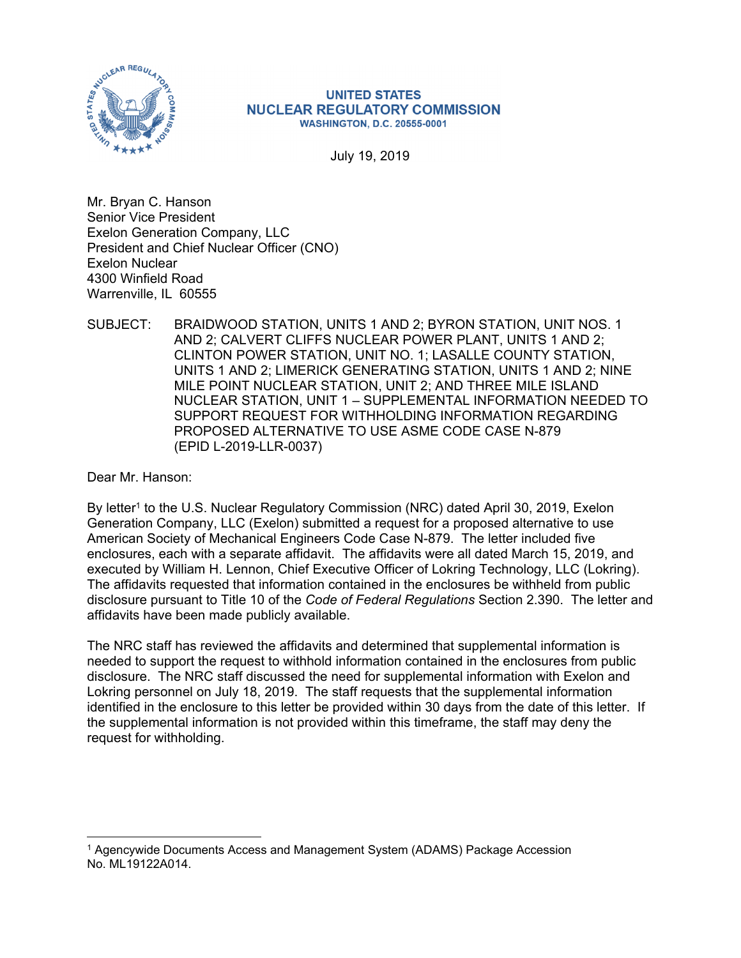

#### **UNITED STATES NUCLEAR REGULATORY COMMISSION WASHINGTON, D.C. 20555-0001**

July 19, 2019

Mr. Bryan C. Hanson Senior Vice President Exelon Generation Company, LLC President and Chief Nuclear Officer (CNO) Exelon Nuclear 4300 Winfield Road Warrenville, IL 60555

SUBJECT: BRAIDWOOD STATION, UNITS 1 AND 2; BYRON STATION, UNIT NOS. 1 AND 2; CALVERT CLIFFS NUCLEAR POWER PLANT, UNITS 1 AND 2; CLINTON POWER STATION, UNIT NO. 1; LASALLE COUNTY STATION, UNITS 1 AND 2; LIMERICK GENERATING STATION, UNITS 1 AND 2; NINE MILE POINT NUCLEAR STATION, UNIT 2; AND THREE MILE ISLAND NUCLEAR STATION, UNIT 1 – SUPPLEMENTAL INFORMATION NEEDED TO SUPPORT REQUEST FOR WITHHOLDING INFORMATION REGARDING PROPOSED ALTERNATIVE TO USE ASME CODE CASE N-879 (EPID L-2019-LLR-0037)

Dear Mr. Hanson:

 $\overline{a}$ 

By letter<sup>1</sup> to the U.S. Nuclear Regulatory Commission (NRC) dated April 30, 2019, Exelon Generation Company, LLC (Exelon) submitted a request for a proposed alternative to use American Society of Mechanical Engineers Code Case N-879. The letter included five enclosures, each with a separate affidavit. The affidavits were all dated March 15, 2019, and executed by William H. Lennon, Chief Executive Officer of Lokring Technology, LLC (Lokring). The affidavits requested that information contained in the enclosures be withheld from public disclosure pursuant to Title 10 of the *Code of Federal Regulations* Section 2.390. The letter and affidavits have been made publicly available.

The NRC staff has reviewed the affidavits and determined that supplemental information is needed to support the request to withhold information contained in the enclosures from public disclosure. The NRC staff discussed the need for supplemental information with Exelon and Lokring personnel on July 18, 2019. The staff requests that the supplemental information identified in the enclosure to this letter be provided within 30 days from the date of this letter. If the supplemental information is not provided within this timeframe, the staff may deny the request for withholding.

<sup>1</sup> Agencywide Documents Access and Management System (ADAMS) Package Accession No. ML19122A014.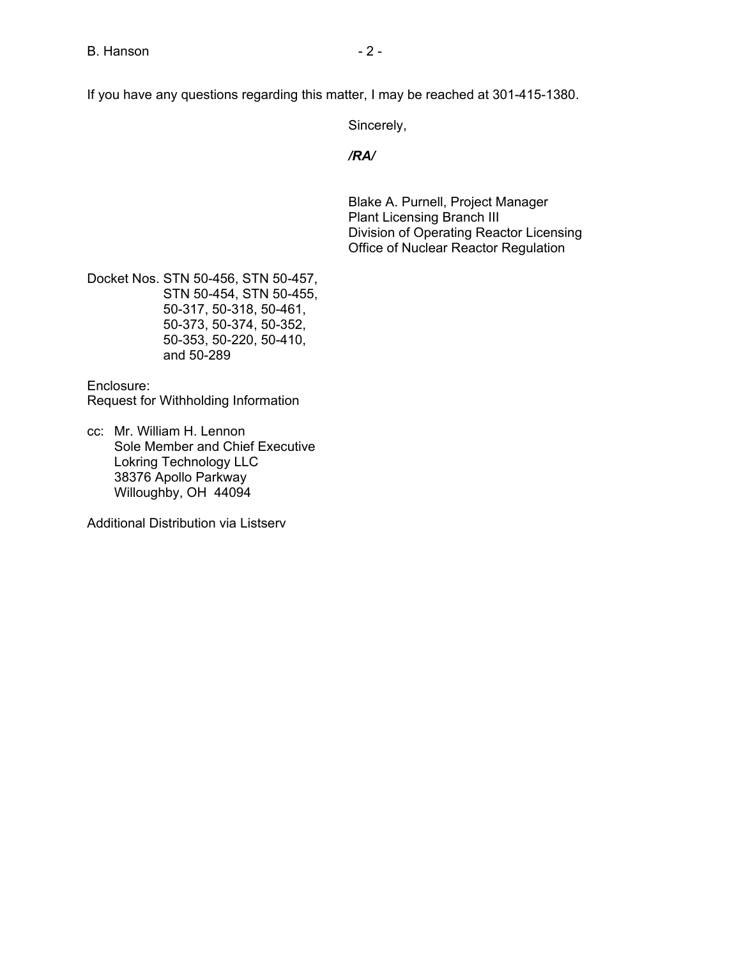If you have any questions regarding this matter, I may be reached at 301-415-1380.

Sincerely,

## */RA/*

Blake A. Purnell, Project Manager Plant Licensing Branch III Division of Operating Reactor Licensing Office of Nuclear Reactor Regulation

Docket Nos. STN 50-456, STN 50-457, STN 50-454, STN 50-455, 50-317, 50-318, 50-461, 50-373, 50-374, 50-352, 50-353, 50-220, 50-410, and 50-289

Enclosure: Request for Withholding Information

cc: Mr. William H. Lennon Sole Member and Chief Executive Lokring Technology LLC 38376 Apollo Parkway Willoughby, OH 44094

Additional Distribution via Listserv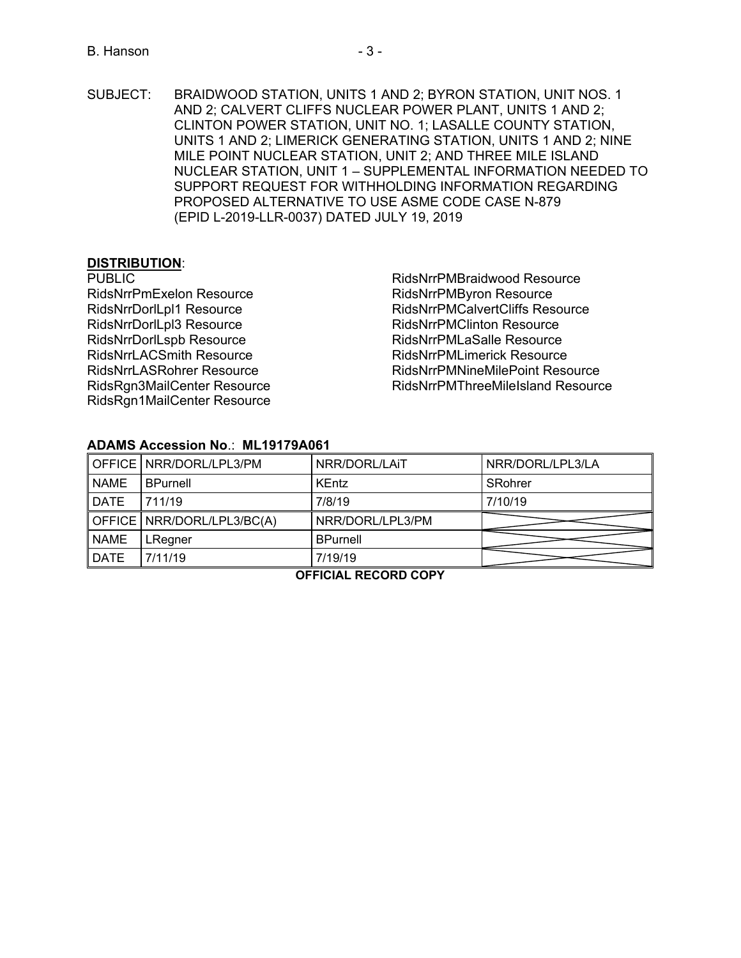SUBJECT: BRAIDWOOD STATION, UNITS 1 AND 2; BYRON STATION, UNIT NOS. 1 AND 2; CALVERT CLIFFS NUCLEAR POWER PLANT, UNITS 1 AND 2; CLINTON POWER STATION, UNIT NO. 1; LASALLE COUNTY STATION, UNITS 1 AND 2; LIMERICK GENERATING STATION, UNITS 1 AND 2; NINE MILE POINT NUCLEAR STATION, UNIT 2; AND THREE MILE ISLAND NUCLEAR STATION, UNIT 1 – SUPPLEMENTAL INFORMATION NEEDED TO SUPPORT REQUEST FOR WITHHOLDING INFORMATION REGARDING PROPOSED ALTERNATIVE TO USE ASME CODE CASE N-879 (EPID L-2019-LLR-0037) DATED JULY 19, 2019

# **DISTRIBUTION**:

PUBLIC

RidsNrrPmExelon Resource RidsNrrDorlLpl1 Resource RidsNrrDorlLpl3 Resource RidsNrrDorlLspb Resource RidsNrrLACSmith Resource RidsNrrLASRohrer Resource RidsRgn3MailCenter Resource RidsRgn1MailCenter Resource

RidsNrrPMBraidwood Resource RidsNrrPMByron Resource RidsNrrPMCalvertCliffs Resource RidsNrrPMClinton Resource RidsNrrPMLaSalle Resource RidsNrrPMLimerick Resource RidsNrrPMNineMilePoint Resource RidsNrrPMThreeMileIsland Resource

## **ADAMS Accession No**.: **ML19179A061**

|             | OFFICE   NRR/DORL/LPL3/PM  | NRR/DORL/LAIT    | NRR/DORL/LPL3/LA |
|-------------|----------------------------|------------------|------------------|
| <b>NAME</b> | <b>BPurnell</b>            | <b>KEntz</b>     | SRohrer          |
| <b>DATE</b> | 711/19                     | 7/8/19           | 7/10/19          |
|             |                            |                  |                  |
|             | OFFICE NRR/DORL/LPL3/BC(A) | NRR/DORL/LPL3/PM |                  |
| <b>NAME</b> | LRegner                    | <b>BPurnell</b>  |                  |

## **OFFICIAL RECORD COPY**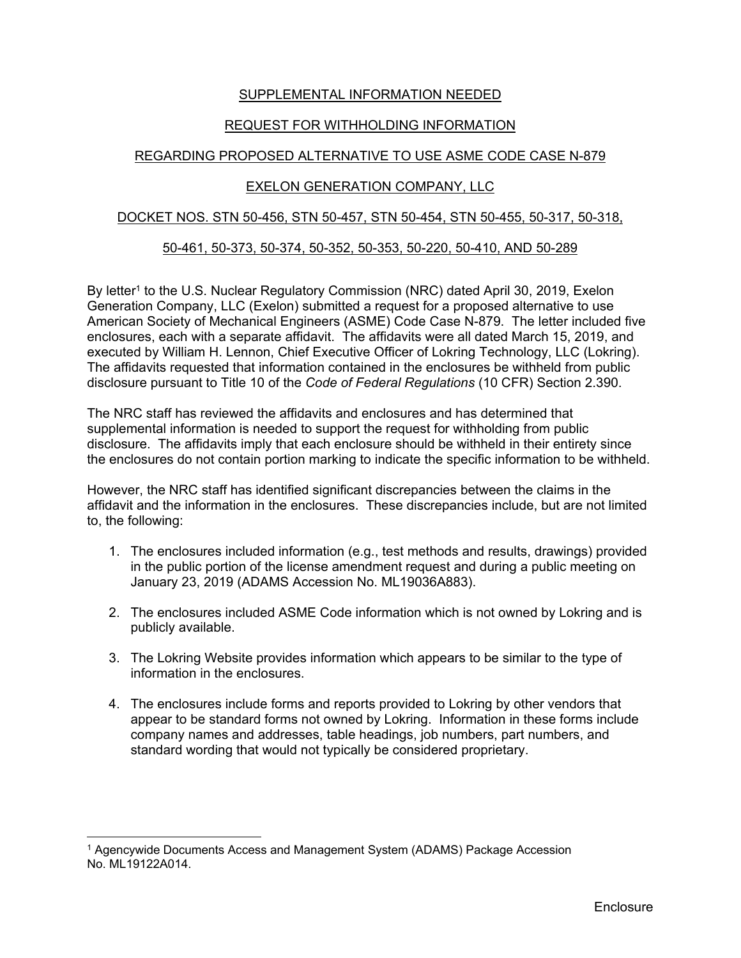## SUPPLEMENTAL INFORMATION NEEDED

# REQUEST FOR WITHHOLDING INFORMATION

# REGARDING PROPOSED ALTERNATIVE TO USE ASME CODE CASE N-879

### EXELON GENERATION COMPANY, LLC

#### DOCKET NOS. STN 50-456, STN 50-457, STN 50-454, STN 50-455, 50-317, 50-318,

#### 50-461, 50-373, 50-374, 50-352, 50-353, 50-220, 50-410, AND 50-289

By letter<sup>1</sup> to the U.S. Nuclear Regulatory Commission (NRC) dated April 30, 2019, Exelon Generation Company, LLC (Exelon) submitted a request for a proposed alternative to use American Society of Mechanical Engineers (ASME) Code Case N-879. The letter included five enclosures, each with a separate affidavit. The affidavits were all dated March 15, 2019, and executed by William H. Lennon, Chief Executive Officer of Lokring Technology, LLC (Lokring). The affidavits requested that information contained in the enclosures be withheld from public disclosure pursuant to Title 10 of the *Code of Federal Regulations* (10 CFR) Section 2.390.

The NRC staff has reviewed the affidavits and enclosures and has determined that supplemental information is needed to support the request for withholding from public disclosure. The affidavits imply that each enclosure should be withheld in their entirety since the enclosures do not contain portion marking to indicate the specific information to be withheld.

However, the NRC staff has identified significant discrepancies between the claims in the affidavit and the information in the enclosures. These discrepancies include, but are not limited to, the following:

- 1. The enclosures included information (e.g., test methods and results, drawings) provided in the public portion of the license amendment request and during a public meeting on January 23, 2019 (ADAMS Accession No. ML19036A883).
- 2. The enclosures included ASME Code information which is not owned by Lokring and is publicly available.
- 3. The Lokring Website provides information which appears to be similar to the type of information in the enclosures.
- 4. The enclosures include forms and reports provided to Lokring by other vendors that appear to be standard forms not owned by Lokring. Information in these forms include company names and addresses, table headings, job numbers, part numbers, and standard wording that would not typically be considered proprietary.

 $\overline{a}$ 

<sup>1</sup> Agencywide Documents Access and Management System (ADAMS) Package Accession No. ML19122A014.